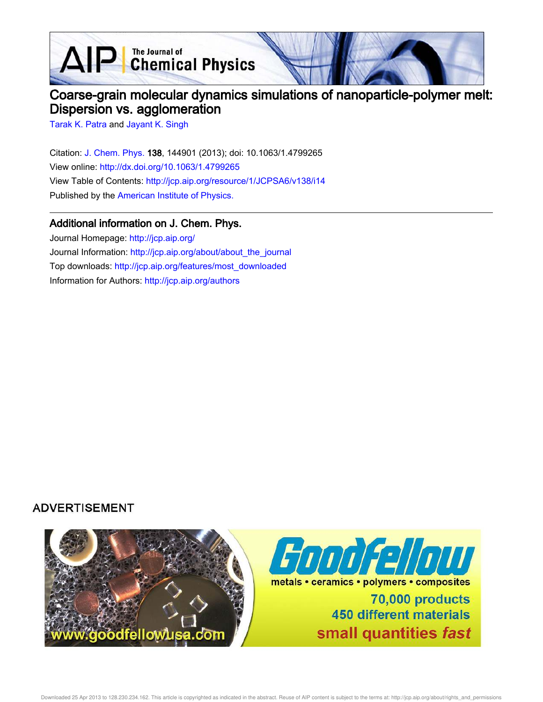AIP Chemical Physics

# Coarse-grain molecular dynamics simulations of nanoparticle-polymer melt: Dispersion vs. agglomeration

Tarak K. Patra and Jayant K. Singh

Citation: J. Chem. Phys. 138, 144901 (2013); doi: 10.1063/1.4799265 View online: http://dx.doi.org/10.1063/1.4799265 View Table of Contents: http://jcp.aip.org/resource/1/JCPSA6/v138/i14 Published by the American Institute of Physics.

### Additional information on J. Chem. Phys.

Journal Homepage: http://jcp.aip.org/ Journal Information: http://jcp.aip.org/about/about\_the\_journal Top downloads: http://jcp.aip.org/features/most\_downloaded Information for Authors: http://jcp.aip.org/authors

## **ADVERTISEMENT**

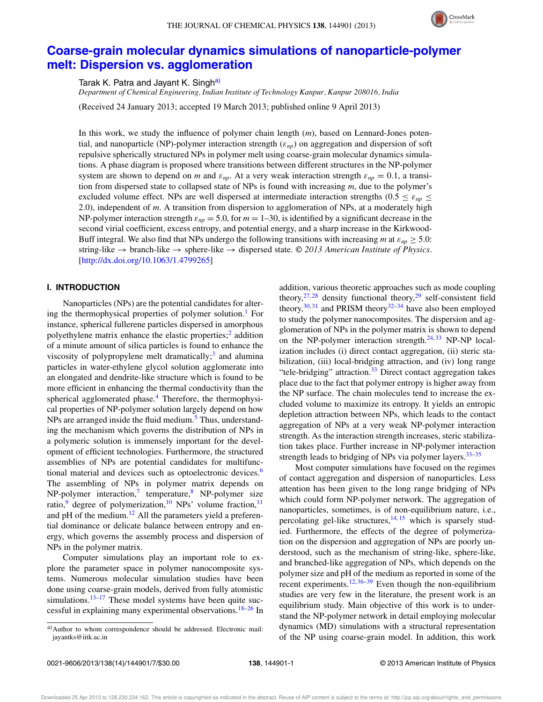

### **Coarse-grain molecular dynamics simulations of nanoparticle-polymer melt: Dispersion vs. agglomeration**

Tarak K. Patra and Jayant K. Singha)

*Department of Chemical Engineering, Indian Institute of Technology Kanpur, Kanpur 208016, India*

(Received 24 January 2013; accepted 19 March 2013; published online 9 April 2013)

In this work, we study the influence of polymer chain length (*m*), based on Lennard-Jones potential, and nanoparticle (NP)-polymer interaction strength (ε*np*) on aggregation and dispersion of soft repulsive spherically structured NPs in polymer melt using coarse-grain molecular dynamics simulations. A phase diagram is proposed where transitions between different structures in the NP-polymer system are shown to depend on *m* and  $\varepsilon_{np}$ . At a very weak interaction strength  $\varepsilon_{np} = 0.1$ , a transition from dispersed state to collapsed state of NPs is found with increasing *m*, due to the polymer's excluded volume effect. NPs are well dispersed at intermediate interaction strengths ( $0.5 \le \varepsilon_{np} \le$ 2.0), independent of *m*. A transition from dispersion to agglomeration of NPs, at a moderately high NP-polymer interaction strength ε*np* = 5.0, for *m* = 1–30, is identified by a significant decrease in the second virial coefficient, excess entropy, and potential energy, and a sharp increase in the Kirkwood-Buff integral. We also find that NPs undergo the following transitions with increasing *m* at  $\varepsilon_{np} \geq 5.0$ : string-like → branch-like → sphere-like → dispersed state. *© 2013 American Institute of Physics*. [http://dx.doi.org/10.1063/1.4799265]

#### **I. INTRODUCTION**

Nanoparticles (NPs) are the potential candidates for altering the thermophysical properties of polymer solution.<sup>1</sup> For instance, spherical fullerene particles dispersed in amorphous polyethylene matrix enhance the elastic properties;<sup>2</sup> addition of a minute amount of silica particles is found to enhance the viscosity of polypropylene melt dramatically;<sup>3</sup> and alumina particles in water-ethylene glycol solution agglomerate into an elongated and dendrite-like structure which is found to be more efficient in enhancing the thermal conductivity than the spherical agglomerated phase.<sup>4</sup> Therefore, the thermophysical properties of NP-polymer solution largely depend on how NPs are arranged inside the fluid medium.<sup>5</sup> Thus, understanding the mechanism which governs the distribution of NPs in a polymeric solution is immensely important for the development of efficient technologies. Furthermore, the structured assemblies of NPs are potential candidates for multifunctional material and devices such as optoelectronic devices.<sup>6</sup> The assembling of NPs in polymer matrix depends on NP-polymer interaction,<sup>7</sup> temperature,<sup>8</sup> NP-polymer size ratio,<sup>9</sup> degree of polymerization,<sup>10</sup> NPs' volume fraction,<sup>11</sup> and pH of the medium.<sup>12</sup> All the parameters yield a preferential dominance or delicate balance between entropy and energy, which governs the assembly process and dispersion of NPs in the polymer matrix.

Computer simulations play an important role to explore the parameter space in polymer nanocomposite systems. Numerous molecular simulation studies have been done using coarse-grain models, derived from fully atomistic simulations. $13-17$  These model systems have been quite successful in explaining many experimental observations.<sup>18–26</sup> In

addition, various theoretic approaches such as mode coupling theory,  $27, 28$  density functional theory,  $29$  self-consistent field theory,  $30, 31$  and PRISM theory  $32-34$  have also been employed to study the polymer nanocomposites. The dispersion and agglomeration of NPs in the polymer matrix is shown to depend on the NP-polymer interaction strength. $^{24,33}$  NP-NP localization includes (i) direct contact aggregation, (ii) steric stabilization, (iii) local-bridging attraction, and (iv) long range "tele-bridging" attraction. $33$  Direct contact aggregation takes place due to the fact that polymer entropy is higher away from the NP surface. The chain molecules tend to increase the excluded volume to maximize its entropy. It yields an entropic depletion attraction between NPs, which leads to the contact aggregation of NPs at a very weak NP-polymer interaction strength. As the interaction strength increases, steric stabilization takes place. Further increase in NP-polymer interaction strength leads to bridging of NPs via polymer layers.<sup>33–35</sup>

Most computer simulations have focused on the regimes of contact aggregation and dispersion of nanoparticles. Less attention has been given to the long range bridging of NPs which could form NP-polymer network. The aggregation of nanoparticles, sometimes, is of non-equilibrium nature, i.e., percolating gel-like structures,  $14, 15$  which is sparsely studied. Furthermore, the effects of the degree of polymerization on the dispersion and aggregation of NPs are poorly understood, such as the mechanism of string-like, sphere-like, and branched-like aggregation of NPs, which depends on the polymer size and pH of the medium as reported in some of the recent experiments.<sup>12, 36–39</sup> Even though the non-equilibrium studies are very few in the literature, the present work is an equilibrium study. Main objective of this work is to understand the NP-polymer network in detail employing molecular dynamics (MD) simulations with a structural representation of the NP using coarse-grain model. In addition, this work

a)Author to whom correspondence should be addressed. Electronic mail: jayantks@iitk.ac.in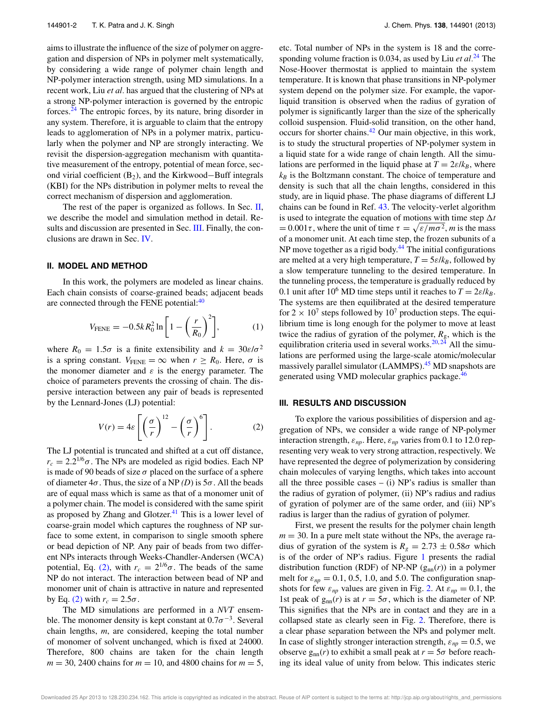aims to illustrate the influence of the size of polymer on aggregation and dispersion of NPs in polymer melt systematically, by considering a wide range of polymer chain length and NP-polymer interaction strength, using MD simulations. In a recent work, Liu *et al.* has argued that the clustering of NPs at a strong NP-polymer interaction is governed by the entropic forces.<sup>24</sup> The entropic forces, by its nature, bring disorder in any system. Therefore, it is arguable to claim that the entropy leads to agglomeration of NPs in a polymer matrix, particularly when the polymer and NP are strongly interacting. We revisit the dispersion-aggregation mechanism with quantitative measurement of the entropy, potential of mean force, second virial coefficient (B2), and the Kirkwood−Buff integrals (KBI) for the NPs distribution in polymer melts to reveal the correct mechanism of dispersion and agglomeration.

The rest of the paper is organized as follows. In Sec. II, we describe the model and simulation method in detail. Results and discussion are presented in Sec. III. Finally, the conclusions are drawn in Sec. IV.

#### **II. MODEL AND METHOD**

In this work, the polymers are modeled as linear chains. Each chain consists of coarse-grained beads; adjacent beads are connected through the FENE potential: $40$ 

$$
V_{\text{FENE}} = -0.5kR_0^2 \ln \left[ 1 - \left(\frac{r}{R_0}\right)^2 \right],
$$
 (1)

where  $R_0 = 1.5\sigma$  is a finite extensibility and  $k = 30\varepsilon/\sigma^2$ is a spring constant.  $V_{\text{FENE}} = \infty$  when  $r \ge R_0$ . Here,  $\sigma$  is the monomer diameter and  $\varepsilon$  is the energy parameter. The choice of parameters prevents the crossing of chain. The dispersive interaction between any pair of beads is represented by the Lennard-Jones (LJ) potential:

$$
V(r) = 4\varepsilon \left[ \left( \frac{\sigma}{r} \right)^{12} - \left( \frac{\sigma}{r} \right)^6 \right].
$$
 (2)

The LJ potential is truncated and shifted at a cut off distance,  $r_c = 2.2^{1/6}\sigma$ . The NPs are modeled as rigid bodies. Each NP is made of 90 beads of size  $\sigma$  placed on the surface of a sphere of diameter  $4\sigma$ . Thus, the size of a NP *(D)* is  $5\sigma$ . All the beads are of equal mass which is same as that of a monomer unit of a polymer chain. The model is considered with the same spirit as proposed by Zhang and Glotzer.<sup>41</sup> This is a lower level of coarse-grain model which captures the roughness of NP surface to some extent, in comparison to single smooth sphere or bead depiction of NP. Any pair of beads from two different NPs interacts through Weeks-Chandler-Andersen (WCA) potential, Eq. (2), with  $r_c = 2^{1/6}\sigma$ . The beads of the same NP do not interact. The interaction between bead of NP and monomer unit of chain is attractive in nature and represented by Eq. (2) with  $r_c = 2.5\sigma$ .

The MD simulations are performed in a *NVT* ensemble. The monomer density is kept constant at  $0.7\sigma^{-3}$ . Several chain lengths, *m*, are considered, keeping the total number of monomer of solvent unchanged, which is fixed at 24000. Therefore, 800 chains are taken for the chain length *m* = 30, 2400 chains for *m* = 10, and 4800 chains for *m* = 5, etc. Total number of NPs in the system is 18 and the corresponding volume fraction is 0.034, as used by Liu *et al.*<sup>24</sup> The Nose-Hoover thermostat is applied to maintain the system temperature. It is known that phase transitions in NP-polymer system depend on the polymer size. For example, the vaporliquid transition is observed when the radius of gyration of polymer is significantly larger than the size of the spherically colloid suspension. Fluid-solid transition, on the other hand, occurs for shorter chains.<sup>42</sup> Our main objective, in this work, is to study the structural properties of NP-polymer system in a liquid state for a wide range of chain length. All the simulations are performed in the liquid phase at  $T = 2\varepsilon/k_B$ , where *k<sup>B</sup>* is the Boltzmann constant. The choice of temperature and density is such that all the chain lengths, considered in this study, are in liquid phase. The phase diagrams of different LJ chains can be found in Ref. 43. The velocity-verlet algorithm is used to integrate the equation of motions with time step  $\Delta t$  $= 0.001\tau$ , where the unit of time  $\tau = \sqrt{\frac{\varepsilon}{m\sigma^2}}$ , *m* is the mass of a monomer unit. At each time step, the frozen subunits of a NP move together as a rigid body. $44$  The initial configurations are melted at a very high temperature,  $T = 5\varepsilon/k_B$ , followed by a slow temperature tunneling to the desired temperature. In the tunneling process, the temperature is gradually reduced by 0.1 unit after 10<sup>6</sup> MD time steps until it reaches to  $T = 2\varepsilon/k_B$ . The systems are then equilibrated at the desired temperature for  $2 \times 10^7$  steps followed by  $10^7$  production steps. The equilibrium time is long enough for the polymer to move at least twice the radius of gyration of the polymer,  $R<sub>g</sub>$ , which is the equilibration criteria used in several works. $20,24$  All the simulations are performed using the large-scale atomic/molecular massively parallel simulator (LAMMPS).<sup>45</sup> MD snapshots are generated using VMD molecular graphics package.<sup>46</sup>

#### **III. RESULTS AND DISCUSSION**

To explore the various possibilities of dispersion and aggregation of NPs, we consider a wide range of NP-polymer interaction strength,  $\varepsilon_{np}$ . Here,  $\varepsilon_{np}$  varies from 0.1 to 12.0 representing very weak to very strong attraction, respectively. We have represented the degree of polymerization by considering chain molecules of varying lengths, which takes into account all the three possible cases  $-$  (i) NP's radius is smaller than the radius of gyration of polymer, (ii) NP's radius and radius of gyration of polymer are of the same order, and (iii) NP's radius is larger than the radius of gyration of polymer.

First, we present the results for the polymer chain length  $m = 30$ . In a pure melt state without the NPs, the average radius of gyration of the system is  $R_g = 2.73 \pm 0.58\sigma$  which is of the order of NP's radius. Figure 1 presents the radial distribution function (RDF) of NP-NP  $(g_{nn}(r))$  in a polymer melt for  $\varepsilon_{np} = 0.1, 0.5, 1.0,$  and 5.0. The configuration snapshots for few  $\varepsilon_{np}$  values are given in Fig. 2. At  $\varepsilon_{np} = 0.1$ , the 1st peak of  $g_{nn}(r)$  is at  $r = 5\sigma$ , which is the diameter of NP. This signifies that the NPs are in contact and they are in a collapsed state as clearly seen in Fig. 2. Therefore, there is a clear phase separation between the NPs and polymer melt. In case of slightly stronger interaction strength,  $\varepsilon_{np} = 0.5$ , we observe  $g_{nn}(r)$  to exhibit a small peak at  $r = 5\sigma$  before reaching its ideal value of unity from below. This indicates steric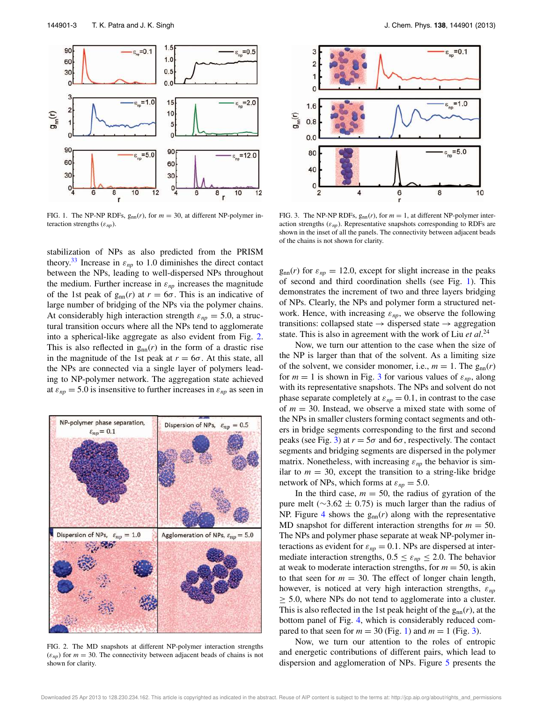

FIG. 1. The NP-NP RDFs,  $g_{nn}(r)$ , for  $m = 30$ , at different NP-polymer interaction strengths (ε*np*).

stabilization of NPs as also predicted from the PRISM theory.<sup>33</sup> Increase in  $\varepsilon_{np}$  to 1.0 diminishes the direct contact between the NPs, leading to well-dispersed NPs throughout the medium. Further increase in  $\varepsilon_{np}$  increases the magnitude of the 1st peak of  $g_{nn}(r)$  at  $r = 6\sigma$ . This is an indicative of large number of bridging of the NPs via the polymer chains. At considerably high interaction strength  $\varepsilon_{np} = 5.0$ , a structural transition occurs where all the NPs tend to agglomerate into a spherical-like aggregate as also evident from Fig. 2. This is also reflected in  $g_{nn}(r)$  in the form of a drastic rise in the magnitude of the 1st peak at  $r = 6\sigma$ . At this state, all the NPs are connected via a single layer of polymers leading to NP-polymer network. The aggregation state achieved at  $\varepsilon_{np}$  = 5.0 is insensitive to further increases in  $\varepsilon_{np}$  as seen in



FIG. 2. The MD snapshots at different NP-polymer interaction strengths  $(\varepsilon_{nn})$  for  $m = 30$ . The connectivity between adjacent beads of chains is not shown for clarity.



FIG. 3. The NP-NP RDFs,  $g_{nn}(r)$ , for  $m = 1$ , at different NP-polymer interaction strengths  $(\varepsilon_{np})$ . Representative snapshots corresponding to RDFs are shown in the inset of all the panels. The connectivity between adjacent beads of the chains is not shown for clarity.

 $g_{nn}(r)$  for  $\varepsilon_{np} = 12.0$ , except for slight increase in the peaks of second and third coordination shells (see Fig. 1). This demonstrates the increment of two and three layers bridging of NPs. Clearly, the NPs and polymer form a structured network. Hence, with increasing  $\varepsilon_{np}$ , we observe the following transitions: collapsed state  $\rightarrow$  dispersed state  $\rightarrow$  aggregation state. This is also in agreement with the work of Liu *et al*. 24

Now, we turn our attention to the case when the size of the NP is larger than that of the solvent. As a limiting size of the solvent, we consider monomer, i.e.,  $m = 1$ . The  $g_{nn}(r)$ for  $m = 1$  is shown in Fig. 3 for various values of  $\varepsilon_{np}$ , along with its representative snapshots. The NPs and solvent do not phase separate completely at  $\varepsilon_{np} = 0.1$ , in contrast to the case of *m* = 30. Instead, we observe a mixed state with some of the NPs in smaller clusters forming contact segments and others in bridge segments corresponding to the first and second peaks (see Fig. 3) at  $r = 5\sigma$  and  $6\sigma$ , respectively. The contact segments and bridging segments are dispersed in the polymer matrix. Nonetheless, with increasing  $\varepsilon_{np}$  the behavior is similar to  $m = 30$ , except the transition to a string-like bridge network of NPs, which forms at  $\varepsilon_{np} = 5.0$ .

In the third case,  $m = 50$ , the radius of gyration of the pure melt ( $\sim$ 3.62 ± 0.75) is much larger than the radius of NP. Figure 4 shows the  $g_{nn}(r)$  along with the representative MD snapshot for different interaction strengths for  $m = 50$ . The NPs and polymer phase separate at weak NP-polymer interactions as evident for  $\varepsilon_{np} = 0.1$ . NPs are dispersed at intermediate interaction strengths,  $0.5 \le \varepsilon_{np} \le 2.0$ . The behavior at weak to moderate interaction strengths, for  $m = 50$ , is akin to that seen for  $m = 30$ . The effect of longer chain length, however, is noticed at very high interaction strengths,  $\varepsilon_{np}$  $\geq$  5.0, where NPs do not tend to agglomerate into a cluster. This is also reflected in the 1st peak height of the  $g_{nn}(r)$ , at the bottom panel of Fig. 4, which is considerably reduced compared to that seen for  $m = 30$  (Fig. 1) and  $m = 1$  (Fig. 3).

Now, we turn our attention to the roles of entropic and energetic contributions of different pairs, which lead to dispersion and agglomeration of NPs. Figure 5 presents the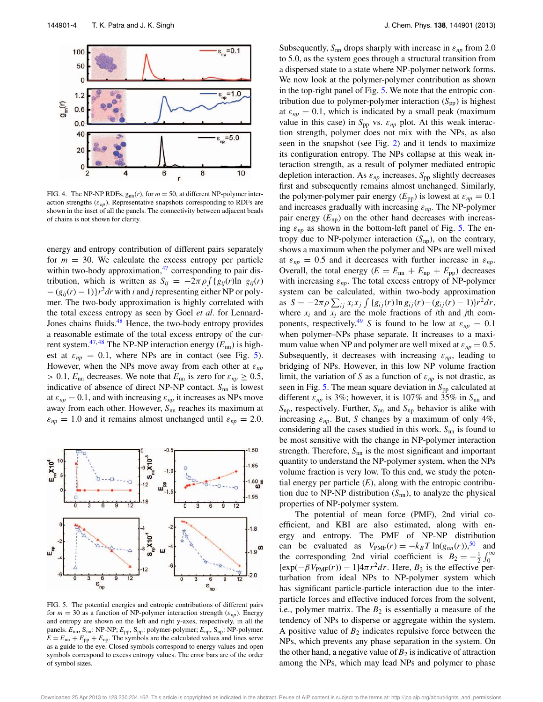

FIG. 4. The NP-NP RDFs,  $g_{nn}(r)$ , for  $m = 50$ , at different NP-polymer interaction strengths  $(\varepsilon_{np})$ . Representative snapshots corresponding to RDFs are shown in the inset of all the panels. The connectivity between adjacent beads of chains is not shown for clarity.

energy and entropy contribution of different pairs separately for  $m = 30$ . We calculate the excess entropy per particle within two-body approximation, $47$  corresponding to pair distribution, which is written as  $S_{ij} = -2\pi \rho \int \{g_{ij}(r) \ln g_{ij}(r)\}$  $-(g_{ij}(r) - 1)$ *}* $r^2 dr$  with *i* and *j* representing either NP or polymer. The two-body approximation is highly correlated with the total excess entropy as seen by Goel *et al.* for Lennard-Jones chains fluids.<sup>48</sup> Hence, the two-body entropy provides a reasonable estimate of the total excess entropy of the current system.<sup>47,48</sup> The NP-NP interaction energy  $(E_{nn})$  is highest at  $\varepsilon_{np} = 0.1$ , where NPs are in contact (see Fig. 5). However, when the NPs move away from each other at  $\varepsilon_{np}$  $> 0.1$ ,  $E_{nn}$  decreases. We note that  $E_{nn}$  is zero for  $\varepsilon_{np} \ge 0.5$ , indicative of absence of direct NP-NP contact. *S*<sub>nn</sub> is lowest at  $\varepsilon_{np} = 0.1$ , and with increasing  $\varepsilon_{np}$  it increases as NPs move away from each other. However, S<sub>nn</sub> reaches its maximum at  $\varepsilon_{np} = 1.0$  and it remains almost unchanged until  $\varepsilon_{np} = 2.0$ .



FIG. 5. The potential energies and entropic contributions of different pairs for  $m = 30$  as a function of NP-polymer interaction strength ( $\varepsilon_{np}$ ). Energy and entropy are shown on the left and right y-axes, respectively, in all the panels. *E*nn, Snn: NP-NP; *E*pp, Spp: polymer-polymer; *E*np, Snp: NP-polymer.  $E = E_{nn} + E_{pp} + E_{np}$ . The symbols are the calculated values and lines serve as a guide to the eye. Closed symbols correspond to energy values and open symbols correspond to excess entropy values. The error bars are of the order of symbol sizes.

Subsequently,  $S_{nn}$  drops sharply with increase in  $\varepsilon_{np}$  from 2.0 to 5.0, as the system goes through a structural transition from a dispersed state to a state where NP-polymer network forms. We now look at the polymer-polymer contribution as shown in the top-right panel of Fig. 5. We note that the entropic contribution due to polymer-polymer interaction  $(S_{\text{pp}})$  is highest at  $\varepsilon_{np} = 0.1$ , which is indicated by a small peak (maximum value in this case) in  $S_{\text{pp}}$  vs.  $\varepsilon_{\text{np}}$  plot. At this weak interaction strength, polymer does not mix with the NPs, as also seen in the snapshot (see Fig. 2) and it tends to maximize its configuration entropy. The NPs collapse at this weak interaction strength, as a result of polymer mediated entropic depletion interaction. As  $\varepsilon_{np}$  increases,  $S_{pp}$  slightly decreases first and subsequently remains almost unchanged. Similarly, the polymer-polymer pair energy  $(E_{\text{pp}})$  is lowest at  $\varepsilon_{np} = 0.1$ and increases gradually with increasing ε*np*. The NP-polymer pair energy  $(E_{np})$  on the other hand decreases with increasing  $\varepsilon_{np}$  as shown in the bottom-left panel of Fig. 5. The entropy due to NP-polymer interaction (*S*np), on the contrary, shows a maximum when the polymer and NPs are well mixed at  $\varepsilon_{np} = 0.5$  and it decreases with further increase in  $\varepsilon_{np}$ . Overall, the total energy  $(E = E_{nn} + E_{np} + E_{pp})$  decreases with increasing  $\varepsilon_{np}$ . The total excess entropy of NP-polymer system can be calculated, within two-body approximation as  $S = -2\pi \rho \sum_{ij} x_i x_j \int {\{g_{ij}(r) \ln g_{ij}(r) - (g_{ij}(r) - 1)\} r^2} dr$ , where  $x_i$  and  $x_j$  are the mole fractions of *i*th and *j*th components, respectively.<sup>49</sup> *S* is found to be low at  $\varepsilon_{np} = 0.1$ when polymer–NPs phase separate. It increases to a maximum value when NP and polymer are well mixed at  $\varepsilon_{np} = 0.5$ . Subsequently, it decreases with increasing  $\varepsilon_{np}$ , leading to bridging of NPs. However, in this low NP volume fraction limit, the variation of *S* as a function of  $\varepsilon_{np}$  is not drastic, as seen in Fig. 5. The mean square deviation in S<sub>pp</sub> calculated at different  $\varepsilon_{np}$  is 3%; however, it is 107% and 35% in  $S_{nn}$  and *S*np, respectively. Further, *S*nn and *S*np behavior is alike with increasing  $\varepsilon_{np}$ . But, *S* changes by a maximum of only 4%, considering all the cases studied in this work. S<sub>nn</sub> is found to be most sensitive with the change in NP-polymer interaction strength. Therefore,  $S_{nn}$  is the most significant and important quantity to understand the NP-polymer system, when the NPs volume fraction is very low. To this end, we study the potential energy per particle  $(E)$ , along with the entropic contribution due to NP-NP distribution  $(S_{nn})$ , to analyze the physical properties of NP-polymer system.

The potential of mean force (PMF), 2nd virial coefficient, and KBI are also estimated, along with energy and entropy. The PMF of NP-NP distribution can be evaluated as  $V_{PMF}(r) = -k_B T \ln(g_{nn}(r))$ ,<sup>50</sup> and the corresponding 2nd virial coefficient is  $B_2 = -\frac{1}{2} \int_0^\infty$  $[\exp(-\beta V_{PMF}(r)) - 1]4\pi r^2 dr$ . Here,  $B_2$  is the effective perturbation from ideal NPs to NP-polymer system which has significant particle-particle interaction due to the interparticle forces and effective induced forces from the solvent, i.e., polymer matrix. The  $B_2$  is essentially a measure of the tendency of NPs to disperse or aggregate within the system. A positive value of  $B_2$  indicates repulsive force between the NPs, which prevents any phase separation in the system. On the other hand, a negative value of  $B_2$  is indicative of attraction among the NPs, which may lead NPs and polymer to phase

Downloaded 25 Apr 2013 to 128.230.234.162. This article is copyrighted as indicated in the abstract. Reuse of AIP content is subject to the terms at: http://jcp.aip.org/about/rights\_and\_permissions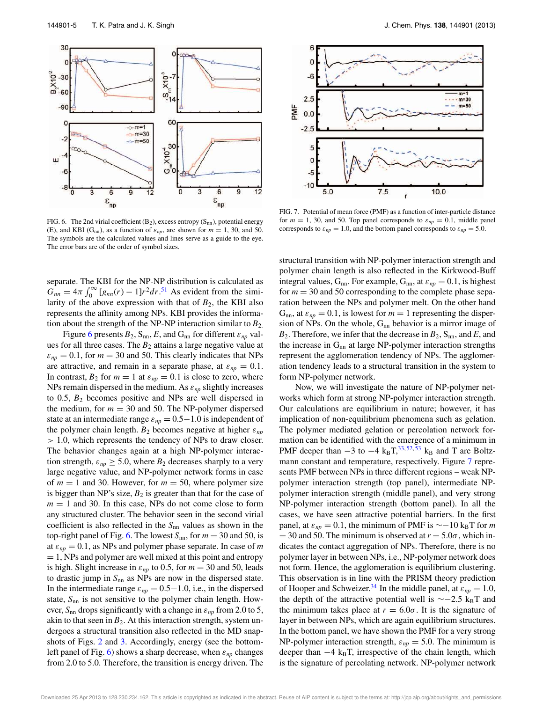

FIG. 6. The 2nd virial coefficient  $(B_2)$ , excess entropy  $(S_{nn})$ , potential energy (E), and KBI (G<sub>nn</sub>), as a function of  $\varepsilon_{np}$ , are shown for  $m = 1$ , 30, and 50. The symbols are the calculated values and lines serve as a guide to the eye. The error bars are of the order of symbol sizes.

separate. The KBI for the NP-NP distribution is calculated as  $G_{nn} = 4\pi \int_0^\infty [g_{nn}(r) - 1]r^2 dr$ <sup>51</sup> As evident from the similarity of the above expression with that of  $B_2$ , the KBI also represents the affinity among NPs. KBI provides the information about the strength of the NP-NP interaction similar to  $B_2$ .

Figure 6 presents  $B_2$ , S<sub>nn</sub>, E, and G<sub>nn</sub> for different  $\varepsilon_{np}$  values for all three cases. The  $B_2$  attains a large negative value at  $\varepsilon_{np} = 0.1$ , for  $m = 30$  and 50. This clearly indicates that NPs are attractive, and remain in a separate phase, at  $\varepsilon_{np} = 0.1$ . In contrast,  $B_2$  for  $m = 1$  at  $\varepsilon_{np} = 0.1$  is close to zero, where NPs remain dispersed in the medium. As  $\varepsilon_{np}$  slightly increases to 0.5, *B*<sup>2</sup> becomes positive and NPs are well dispersed in the medium, for  $m = 30$  and 50. The NP-polymer dispersed state at an intermediate range  $\varepsilon_{np} = 0.5 - 1.0$  is independent of the polymer chain length.  $B_2$  becomes negative at higher  $\varepsilon_{np}$ > 1.0, which represents the tendency of NPs to draw closer. The behavior changes again at a high NP-polymer interaction strength,  $\varepsilon_{np} \geq 5.0$ , where  $B_2$  decreases sharply to a very large negative value, and NP-polymer network forms in case of  $m = 1$  and 30. However, for  $m = 50$ , where polymer size is bigger than NP's size,  $B_2$  is greater than that for the case of  $m = 1$  and 30. In this case, NPs do not come close to form any structured cluster. The behavior seen in the second virial coefficient is also reflected in the S<sub>nn</sub> values as shown in the top-right panel of Fig. 6. The lowest  $S_{nn}$ , for  $m = 30$  and 50, is at  $\varepsilon_{np} = 0.1$ , as NPs and polymer phase separate. In case of *m*  $= 1$ , NPs and polymer are well mixed at this point and entropy is high. Slight increase in  $\varepsilon_{np}$  to 0.5, for  $m = 30$  and 50, leads to drastic jump in *S*nn as NPs are now in the dispersed state. In the intermediate range  $\varepsilon_{np} = 0.5 - 1.0$ , i.e., in the dispersed state,  $S<sub>nn</sub>$  is not sensitive to the polymer chain length. However,  $S_{nn}$  drops significantly with a change in  $\varepsilon_{np}$  from 2.0 to 5, akin to that seen in  $B_2$ . At this interaction strength, system undergoes a structural transition also reflected in the MD snapshots of Figs. 2 and 3. Accordingly, energy (see the bottomleft panel of Fig. 6) shows a sharp decrease, when  $\varepsilon_{np}$  changes from 2.0 to 5.0. Therefore, the transition is energy driven. The



FIG. 7. Potential of mean force (PMF) as a function of inter-particle distance for  $m = 1$ , 30, and 50. Top panel corresponds to  $\varepsilon_{np} = 0.1$ , middle panel corresponds to  $\varepsilon_{np} = 1.0$ , and the bottom panel corresponds to  $\varepsilon_{np} = 5.0$ .

structural transition with NP-polymer interaction strength and polymer chain length is also reflected in the Kirkwood-Buff integral values, G<sub>nn</sub>. For example, G<sub>nn</sub>, at  $\varepsilon_{np} = 0.1$ , is highest for  $m = 30$  and 50 corresponding to the complete phase separation between the NPs and polymer melt. On the other hand  $G_{nn}$ , at  $\varepsilon_{np} = 0.1$ , is lowest for  $m = 1$  representing the dispersion of NPs. On the whole,  $G_{nn}$  behavior is a mirror image of  $B_2$ . Therefore, we infer that the decrease in  $B_2$ ,  $S_{nn}$ , and *E*, and the increase in  $G<sub>nn</sub>$  at large NP-polymer interaction strengths represent the agglomeration tendency of NPs. The agglomeration tendency leads to a structural transition in the system to form NP-polymer network.

Now, we will investigate the nature of NP-polymer networks which form at strong NP-polymer interaction strength. Our calculations are equilibrium in nature; however, it has implication of non-equilibrium phenomena such as gelation. The polymer mediated gelation or percolation network formation can be identified with the emergence of a minimum in PMF deeper than  $-3$  to  $-4$  k<sub>B</sub>T,<sup>33,52,53</sup> k<sub>B</sub> and T are Boltzmann constant and temperature, respectively. Figure 7 represents PMF between NPs in three different regions – weak NPpolymer interaction strength (top panel), intermediate NPpolymer interaction strength (middle panel), and very strong NP-polymer interaction strength (bottom panel). In all the cases, we have seen attractive potential barriers. In the first panel, at  $\varepsilon_{np} = 0.1$ , the minimum of PMF is  $\sim$  -10 k<sub>B</sub>T for *m*  $= 30$  and 50. The minimum is observed at  $r = 5.0\sigma$ , which indicates the contact aggregation of NPs. Therefore, there is no polymer layer in between NPs, i.e., NP-polymer network does not form. Hence, the agglomeration is equilibrium clustering. This observation is in line with the PRISM theory prediction of Hooper and Schweizer.<sup>34</sup> In the middle panel, at  $\varepsilon_{np} = 1.0$ , the depth of the attractive potential well is  $\sim$ −2.5 k<sub>B</sub>T and the minimum takes place at  $r = 6.0\sigma$ . It is the signature of layer in between NPs, which are again equilibrium structures. In the bottom panel, we have shown the PMF for a very strong NP-polymer interaction strength,  $\varepsilon_{np} = 5.0$ . The minimum is deeper than  $-4$  k<sub>B</sub>T, irrespective of the chain length, which is the signature of percolating network. NP-polymer network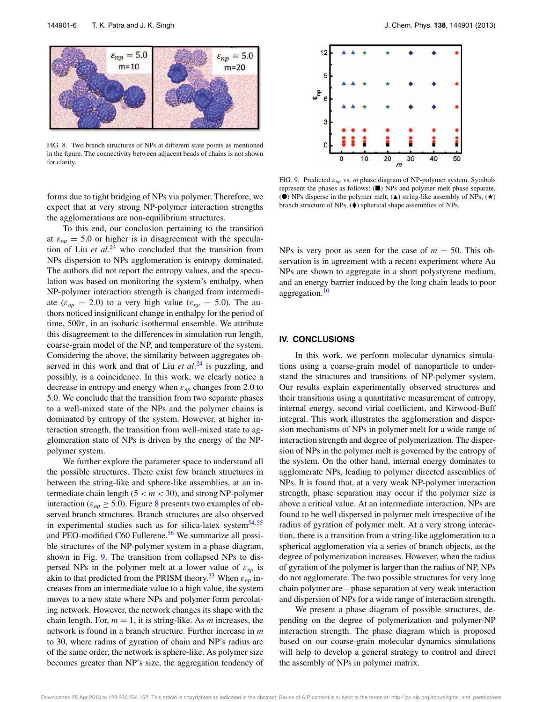

FIG. 8. Two branch structures of NPs at different state points as mentioned in the figure. The connectivity between adjacent beads of chains is not shown for clarity.

forms due to tight bridging of NPs via polymer. Therefore, we expect that at very strong NP-polymer interaction strengths the agglomerations are non-equilibrium structures.

To this end, our conclusion pertaining to the transition at  $\varepsilon_{np} = 5.0$  or higher is in disagreement with the speculation of Liu *et al.*<sup>24</sup> who concluded that the transition from NPs dispersion to NPs agglomeration is entropy dominated. The authors did not report the entropy values, and the speculation was based on monitoring the system's enthalpy, when NP-polymer interaction strength is changed from intermediate ( $\varepsilon_{np}$  = 2.0) to a very high value ( $\varepsilon_{np}$  = 5.0). The authors noticed insignificant change in enthalpy for the period of time,  $500\tau$ , in an isobaric isothermal ensemble. We attribute this disagreement to the differences in simulation run length, coarse-grain model of the NP, and temperature of the system. Considering the above, the similarity between aggregates observed in this work and that of Liu *et al.*<sup>24</sup> is puzzling, and possibly, is a coincidence. In this work, we clearly notice a decrease in entropy and energy when  $\varepsilon_{np}$  changes from 2.0 to 5.0. We conclude that the transition from two separate phases to a well-mixed state of the NPs and the polymer chains is dominated by entropy of the system. However, at higher interaction strength, the transition from well-mixed state to agglomeration state of NPs is driven by the energy of the NPpolymer system.

We further explore the parameter space to understand all the possible structures. There exist few branch structures in between the string-like and sphere-like assemblies, at an intermediate chain length  $(5 < m < 30)$ , and strong NP-polymer interaction ( $\varepsilon_{np} \geq 5.0$ ). Figure 8 presents two examples of observed branch structures. Branch structures are also observed in experimental studies such as for silica-latex system $54, 55$ and PEO-modified C60 Fullerene.<sup>56</sup> We summarize all possible structures of the NP-polymer system in a phase diagram, shown in Fig. 9. The transition from collapsed NPs to dispersed NPs in the polymer melt at a lower value of  $\varepsilon_{np}$  is akin to that predicted from the PRISM theory.<sup>33</sup> When  $\varepsilon_{np}$  increases from an intermediate value to a high value, the system moves to a new state where NPs and polymer form percolating network. However, the network changes its shape with the chain length. For,  $m = 1$ , it is string-like. As *m* increases, the network is found in a branch structure. Further increase in *m* to 30, where radius of gyration of chain and NP's radius are of the same order, the network is sphere-like. As polymer size becomes greater than NP's size, the aggregation tendency of



FIG. 9. Predicted ε*np* vs. *m* phase diagram of NP-polymer system. Symbols represent the phases as follows:  $(\blacksquare)$  NPs and polymer melt phase separate, ( $\bullet$ ) NPs disperse in the polymer melt, ( $\blacktriangle$ ) string-like assembly of NPs, ( $\star$ ) branch structure of NPs,  $(\blacklozenge)$  spherical shape assemblies of NPs.

NPs is very poor as seen for the case of  $m = 50$ . This observation is in agreement with a recent experiment where Au NPs are shown to aggregate in a short polystyrene medium, and an energy barrier induced by the long chain leads to poor aggregation.<sup>10</sup>

#### **IV. CONCLUSIONS**

In this work, we perform molecular dynamics simulations using a coarse-grain model of nanoparticle to understand the structures and transitions of NP-polymer system. Our results explain experimentally observed structures and their transitions using a quantitative measurement of entropy, internal energy, second virial coefficient, and Kirwood-Buff integral. This work illustrates the agglomeration and dispersion mechanisms of NPs in polymer melt for a wide range of interaction strength and degree of polymerization. The dispersion of NPs in the polymer melt is governed by the entropy of the system. On the other hand, internal energy dominates to agglomerate NPs, leading to polymer directed assemblies of NPs. It is found that, at a very weak NP-polymer interaction strength, phase separation may occur if the polymer size is above a critical value. At an intermediate interaction, NPs are found to be well dispersed in polymer melt irrespective of the radius of gyration of polymer melt. At a very strong interaction, there is a transition from a string-like agglomeration to a spherical agglomeration via a series of branch objects, as the degree of polymerization increases. However, when the radius of gyration of the polymer is larger than the radius of NP, NPs do not agglomerate. The two possible structures for very long chain polymer are – phase separation at very weak interaction and dispersion of NPs for a wide range of interaction strength.

We present a phase diagram of possible structures, depending on the degree of polymerization and polymer-NP interaction strength. The phase diagram which is proposed based on our coarse-grain molecular dynamics simulations will help to develop a general strategy to control and direct the assembly of NPs in polymer matrix.